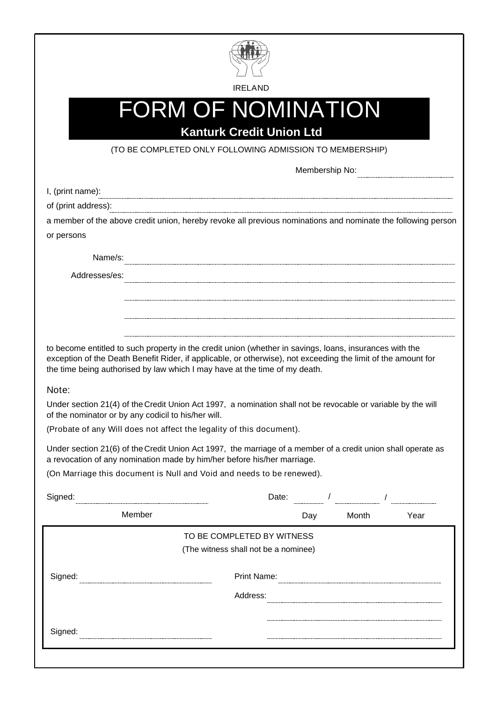

IRELAND

#### **Kanturk Credit Union Ltd** FORM OF NOMINATION

(TO BE COMPLETED ONLY FOLLOWING ADMISSION TO MEMBERSHIP)

Membership No:

| I, (print name):                                                                                                                                                                                                                                                                                       |                                                                                                                                                                                          |                                      |  |  |           |  |      |
|--------------------------------------------------------------------------------------------------------------------------------------------------------------------------------------------------------------------------------------------------------------------------------------------------------|------------------------------------------------------------------------------------------------------------------------------------------------------------------------------------------|--------------------------------------|--|--|-----------|--|------|
|                                                                                                                                                                                                                                                                                                        | of (print address):                                                                                                                                                                      |                                      |  |  |           |  |      |
|                                                                                                                                                                                                                                                                                                        | a member of the above credit union, hereby revoke all previous nominations and nominate the following person                                                                             |                                      |  |  |           |  |      |
| or persons                                                                                                                                                                                                                                                                                             |                                                                                                                                                                                          |                                      |  |  |           |  |      |
| Name/s:                                                                                                                                                                                                                                                                                                |                                                                                                                                                                                          |                                      |  |  |           |  |      |
| Addresses/es:                                                                                                                                                                                                                                                                                          |                                                                                                                                                                                          |                                      |  |  |           |  |      |
|                                                                                                                                                                                                                                                                                                        |                                                                                                                                                                                          |                                      |  |  |           |  |      |
|                                                                                                                                                                                                                                                                                                        |                                                                                                                                                                                          |                                      |  |  |           |  |      |
|                                                                                                                                                                                                                                                                                                        |                                                                                                                                                                                          |                                      |  |  |           |  |      |
|                                                                                                                                                                                                                                                                                                        |                                                                                                                                                                                          |                                      |  |  |           |  |      |
| to become entitled to such property in the credit union (whether in savings, loans, insurances with the<br>exception of the Death Benefit Rider, if applicable, or otherwise), not exceeding the limit of the amount for<br>the time being authorised by law which I may have at the time of my death. |                                                                                                                                                                                          |                                      |  |  |           |  |      |
| Note:                                                                                                                                                                                                                                                                                                  |                                                                                                                                                                                          |                                      |  |  |           |  |      |
| Under section 21(4) of the Credit Union Act 1997, a nomination shall not be revocable or variable by the will<br>of the nominator or by any codicil to his/her will.                                                                                                                                   |                                                                                                                                                                                          |                                      |  |  |           |  |      |
| (Probate of any Will does not affect the legality of this document).                                                                                                                                                                                                                                   |                                                                                                                                                                                          |                                      |  |  |           |  |      |
|                                                                                                                                                                                                                                                                                                        | Under section 21(6) of the Credit Union Act 1997, the marriage of a member of a credit union shall operate as<br>a revocation of any nomination made by him/her before his/her marriage. |                                      |  |  |           |  |      |
|                                                                                                                                                                                                                                                                                                        | (On Marriage this document is Null and Void and needs to be renewed).                                                                                                                    |                                      |  |  |           |  |      |
|                                                                                                                                                                                                                                                                                                        |                                                                                                                                                                                          |                                      |  |  |           |  |      |
| Signed:                                                                                                                                                                                                                                                                                                |                                                                                                                                                                                          |                                      |  |  |           |  |      |
|                                                                                                                                                                                                                                                                                                        | Member                                                                                                                                                                                   |                                      |  |  | Day Month |  | Year |
|                                                                                                                                                                                                                                                                                                        |                                                                                                                                                                                          | TO BE COMPLETED BY WITNESS           |  |  |           |  |      |
|                                                                                                                                                                                                                                                                                                        |                                                                                                                                                                                          | (The witness shall not be a nominee) |  |  |           |  |      |
|                                                                                                                                                                                                                                                                                                        |                                                                                                                                                                                          |                                      |  |  |           |  |      |
| Signed:                                                                                                                                                                                                                                                                                                |                                                                                                                                                                                          | <b>Print Name:</b>                   |  |  |           |  |      |
|                                                                                                                                                                                                                                                                                                        |                                                                                                                                                                                          | Address:                             |  |  |           |  |      |
|                                                                                                                                                                                                                                                                                                        |                                                                                                                                                                                          |                                      |  |  |           |  |      |
|                                                                                                                                                                                                                                                                                                        |                                                                                                                                                                                          |                                      |  |  |           |  |      |
| Signed:                                                                                                                                                                                                                                                                                                |                                                                                                                                                                                          |                                      |  |  |           |  |      |
|                                                                                                                                                                                                                                                                                                        |                                                                                                                                                                                          |                                      |  |  |           |  |      |
|                                                                                                                                                                                                                                                                                                        |                                                                                                                                                                                          |                                      |  |  |           |  |      |